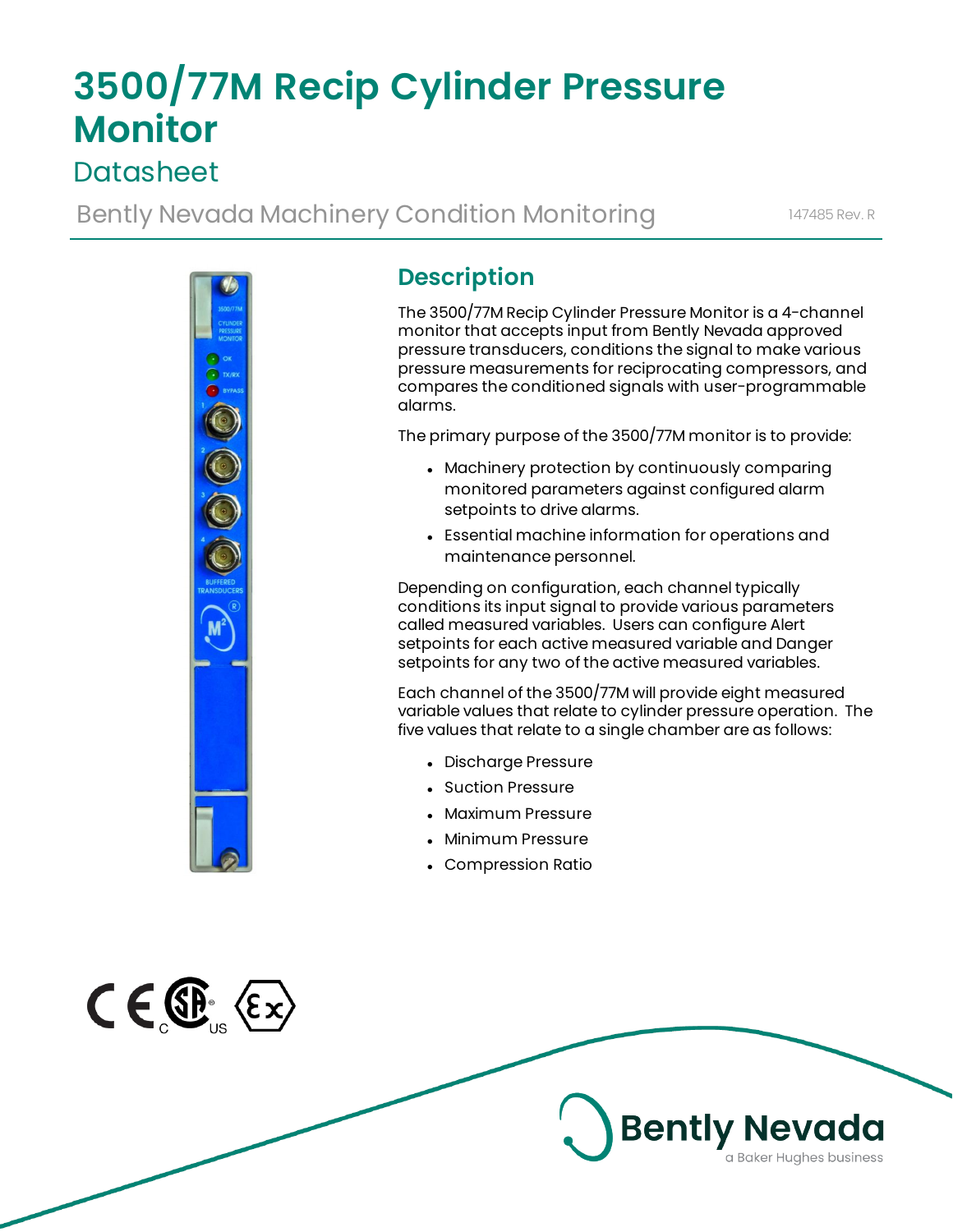# **3500/77M Recip Cylinder Pressure Monitor**

# **Datasheet**

Bently Nevada Machinery Condition Monitoring 147485 Rev. R



# **Description**

The 3500/77M Recip Cylinder Pressure Monitor is a 4-channel monitor that accepts input from Bently Nevada approved pressure transducers, conditions the signal to make various pressure measurements for reciprocating compressors, and compares the conditioned signals with user-programmable alarms.

The primary purpose of the 3500/77M monitor is to provide:

- Machinery protection by continuously comparing monitored parameters against configured alarm setpoints to drive alarms.
- Essential machine information for operations and maintenance personnel.

Depending on configuration, each channel typically conditions its input signal to provide various parameters called measured variables. Users can configure Alert setpoints for each active measured variable and Danger setpoints for any two of the active measured variables.

Each channel of the 3500/77M will provide eight measured variable values that relate to cylinder pressure operation. The five values that relate to a single chamber are as follows:

- Discharge Pressure
- Suction Pressure
- Maximum Pressure
- Minimum Pressure
- Compression Ratio

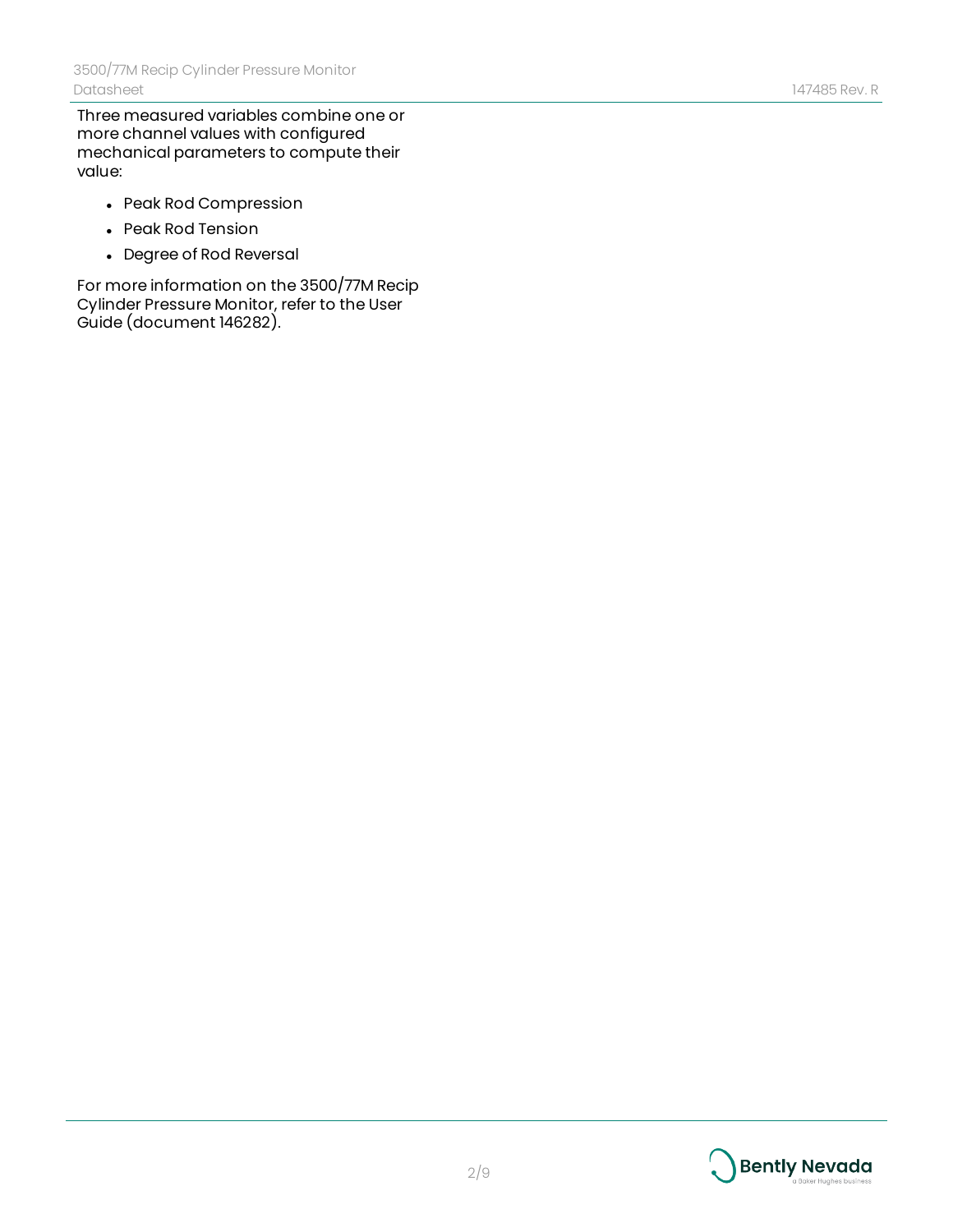Three measured variables combine one or more channel values with configured mechanical parameters to compute their value:

- Peak Rod Compression
- Peak Rod Tension
- Degree of Rod Reversal

For more information on the 3500/77M Recip Cylinder Pressure Monitor, refer to the User Guide (document 146282).



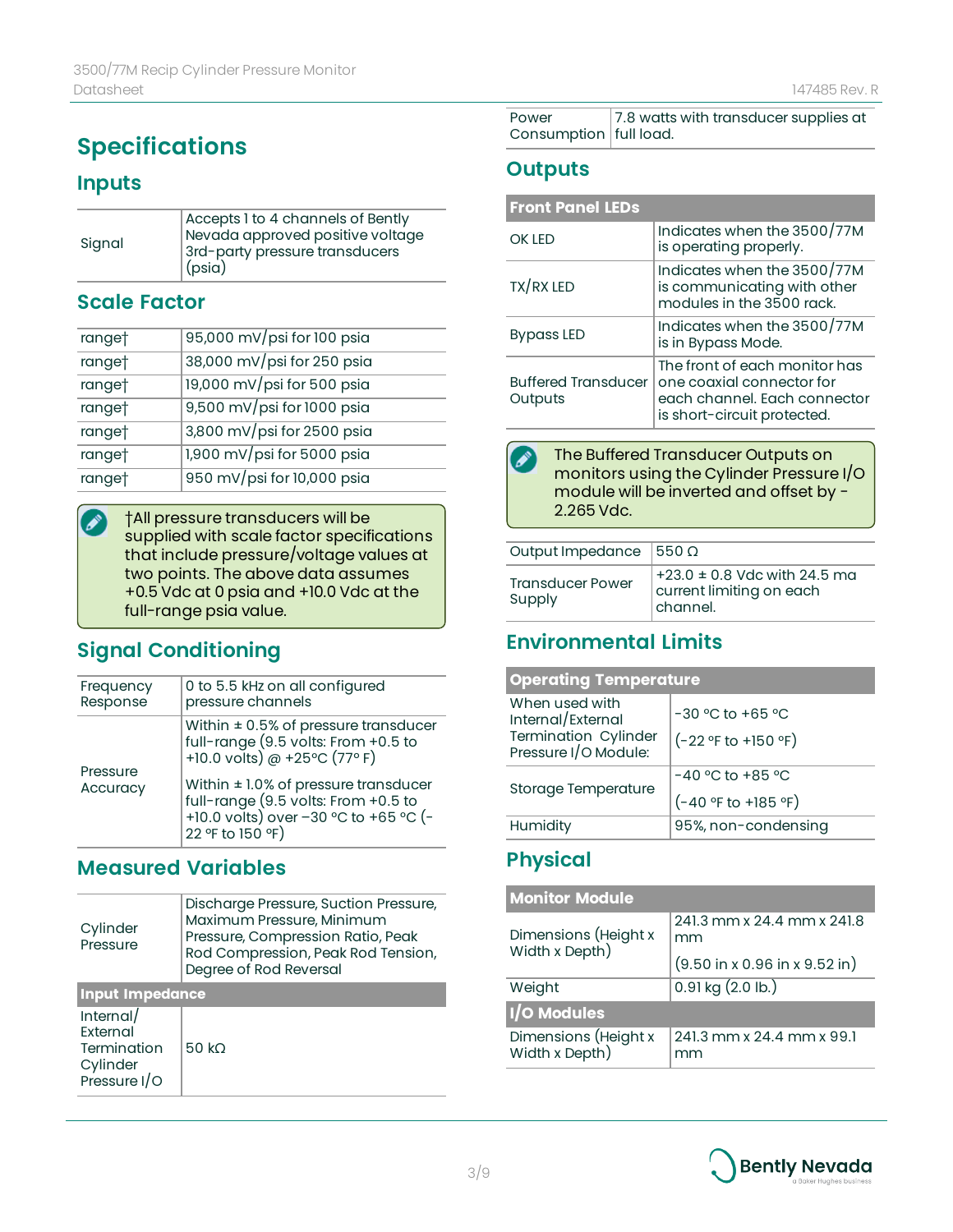# **Specifications**

#### **Inputs**

| Accepts 1 to 4 channels of Bently<br>Nevada approved positive voltage<br>3rd-party pressure transducers<br>$ $ (psia) |
|-----------------------------------------------------------------------------------------------------------------------|
|                                                                                                                       |
|                                                                                                                       |

#### **Scale Factor**

| ranget | 95,000 mV/psi for 100 psia |
|--------|----------------------------|
| ranget | 38,000 mV/psi for 250 psia |
| ranget | 19,000 mV/psi for 500 psia |
| ranget | 9,500 mV/psi for 1000 psia |
| ranget | 3,800 mV/psi for 2500 psia |
| ranget | 1,900 mV/psi for 5000 psia |
| ranget | 950 mV/psi for 10,000 psia |

†All pressure transducers will be  $\mathscr{E}$ supplied with scale factor specifications that include pressure/voltage values at two points. The above data assumes +0.5 Vdc at 0 psia and +10.0 Vdc at the full-range psia value.

### **Signal Conditioning**

| Frequency<br>Response | 0 to 5.5 kHz on all configured<br>pressure channels                                                                                                                                                                                                                             |
|-----------------------|---------------------------------------------------------------------------------------------------------------------------------------------------------------------------------------------------------------------------------------------------------------------------------|
| Pressure<br>Accuracy  | Within $\pm$ 0.5% of pressure transducer<br>full-range (9.5 volts: From +0.5 to<br>+10.0 volts) $\textcircled{a}$ +25°C (77° F)<br>Within $\pm$ 1.0% of pressure transducer<br>full-range (9.5 volts: From +0.5 to<br>+10.0 volts) over -30 °C to +65 °C (-<br>22 °F to 150 °F) |
|                       |                                                                                                                                                                                                                                                                                 |

### **Measured Variables**

| Cylinder<br>Pressure                                             | Discharge Pressure, Suction Pressure,<br>Maximum Pressure, Minimum<br>Pressure, Compression Ratio, Peak<br>Rod Compression, Peak Rod Tension,<br>Degree of Rod Reversal |  |
|------------------------------------------------------------------|-------------------------------------------------------------------------------------------------------------------------------------------------------------------------|--|
| <b>Input Impedance</b>                                           |                                                                                                                                                                         |  |
| Internal/<br>External<br>Termination<br>Cylinder<br>Pressure I/O | 50 kO                                                                                                                                                                   |  |
|                                                                  |                                                                                                                                                                         |  |

| Power                    | 7.8 watts with transducer supplies at |
|--------------------------|---------------------------------------|
| Consumption   full load. |                                       |

#### **Outputs**

| <b>Front Panel LEDs</b>               |                                                                                                                           |
|---------------------------------------|---------------------------------------------------------------------------------------------------------------------------|
| OK LED                                | Indicates when the 3500/77M<br>is operating properly.                                                                     |
| TX/RX LED                             | Indicates when the 3500/77M<br>is communicating with other<br>modules in the 3500 rack.                                   |
| <b>Bypass LED</b>                     | Indicates when the 3500/77M<br>is in Bypass Mode.                                                                         |
| <b>Buffered Transducer</b><br>Outputs | The front of each monitor has<br>one coaxial connector for<br>each channel. Each connector<br>is short-circuit protected. |
|                                       |                                                                                                                           |
| The Buffered Transducer Outputs on    |                                                                                                                           |



| Output Impedance $ 550 \Omega$    |                                                                          |
|-----------------------------------|--------------------------------------------------------------------------|
| <b>Transducer Power</b><br>Supply | $+23.0 \pm 0.8$ Vdc with 24.5 ma<br>current limiting on each<br>channel. |

### **Environmental Limits**

| <b>Operating Temperature</b>                                                        |                                               |
|-------------------------------------------------------------------------------------|-----------------------------------------------|
| When used with<br>Internal/External<br>Termination Cylinder<br>Pressure I/O Module: | $-30$ °C to $+65$ °C<br>$(-22 °F to +150 °F)$ |
|                                                                                     | $-40$ °C to +85 °C                            |
| Storage Temperature                                                                 | $(-40 °F to +185 °F)$                         |
| Humidity                                                                            | 95%, non-condensing                           |

### **Physical**

| <b>Monitor Module</b>                  |                                                           |
|----------------------------------------|-----------------------------------------------------------|
| Dimensions (Height x<br>Width x Depth) | 241.3 mm x 24.4 mm x 241.8<br>mm                          |
|                                        | $(9.50 \text{ in } x 0.96 \text{ in } x 9.52 \text{ in})$ |
| Weight                                 | $0.91$ kg $(2.0$ lb.)                                     |
| I/O Modules                            |                                                           |
| Dimensions (Height x<br>Width x Depth) | 241.3 mm x 24.4 mm x 99.1<br>mm                           |

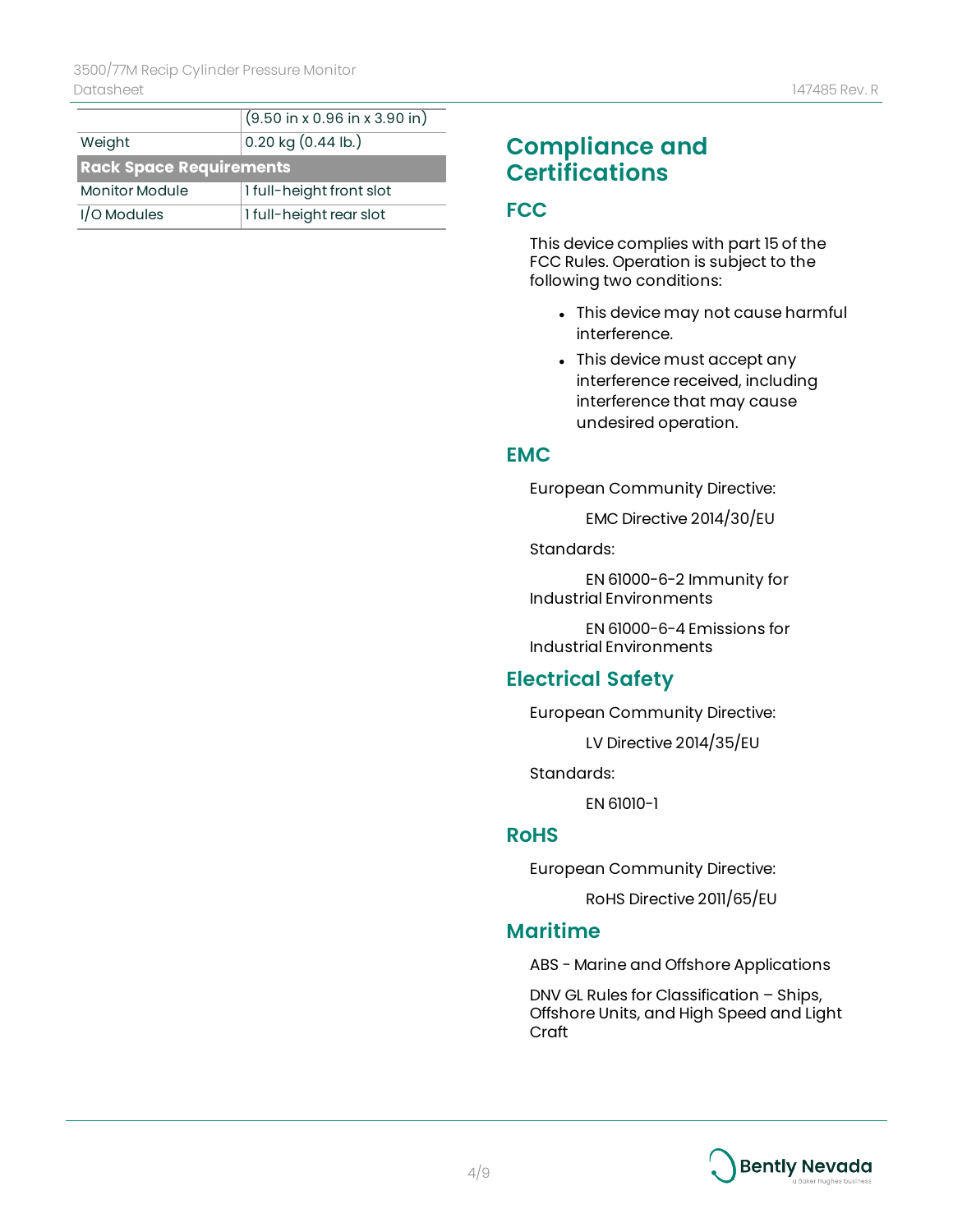|                                | $(9.50 \text{ in } x 0.96 \text{ in } x 3.90 \text{ in})$ |  |
|--------------------------------|-----------------------------------------------------------|--|
| Weight                         | $0.20$ kg $(0.44$ lb.)                                    |  |
| <b>Rack Space Requirements</b> |                                                           |  |
| <b>Monitor Module</b>          | 1 full-height front slot                                  |  |
| I/O Modules                    | 1 full-height rear slot                                   |  |

### **Compliance and Certifications**

#### **FCC**

This device complies with part 15 of the FCC Rules. Operation is subject to the following two conditions:

- This device may not cause harmful interference.
- This device must accept any interference received, including interference that may cause undesired operation.

#### **EMC**

European Community Directive:

EMC Directive 2014/30/EU

Standards:

EN 61000-6-2 Immunity for Industrial Environments

EN 61000-6-4 Emissions for Industrial Environments

### **Electrical Safety**

European Community Directive:

LV Directive 2014/35/EU

Standards:

EN 61010-1

#### **RoHS**

European Community Directive:

RoHS Directive 2011/65/EU

#### **Maritime**

ABS - Marine and Offshore Applications

DNV GL Rules for Classification – Ships, Offshore Units, and High Speed and Light Craft

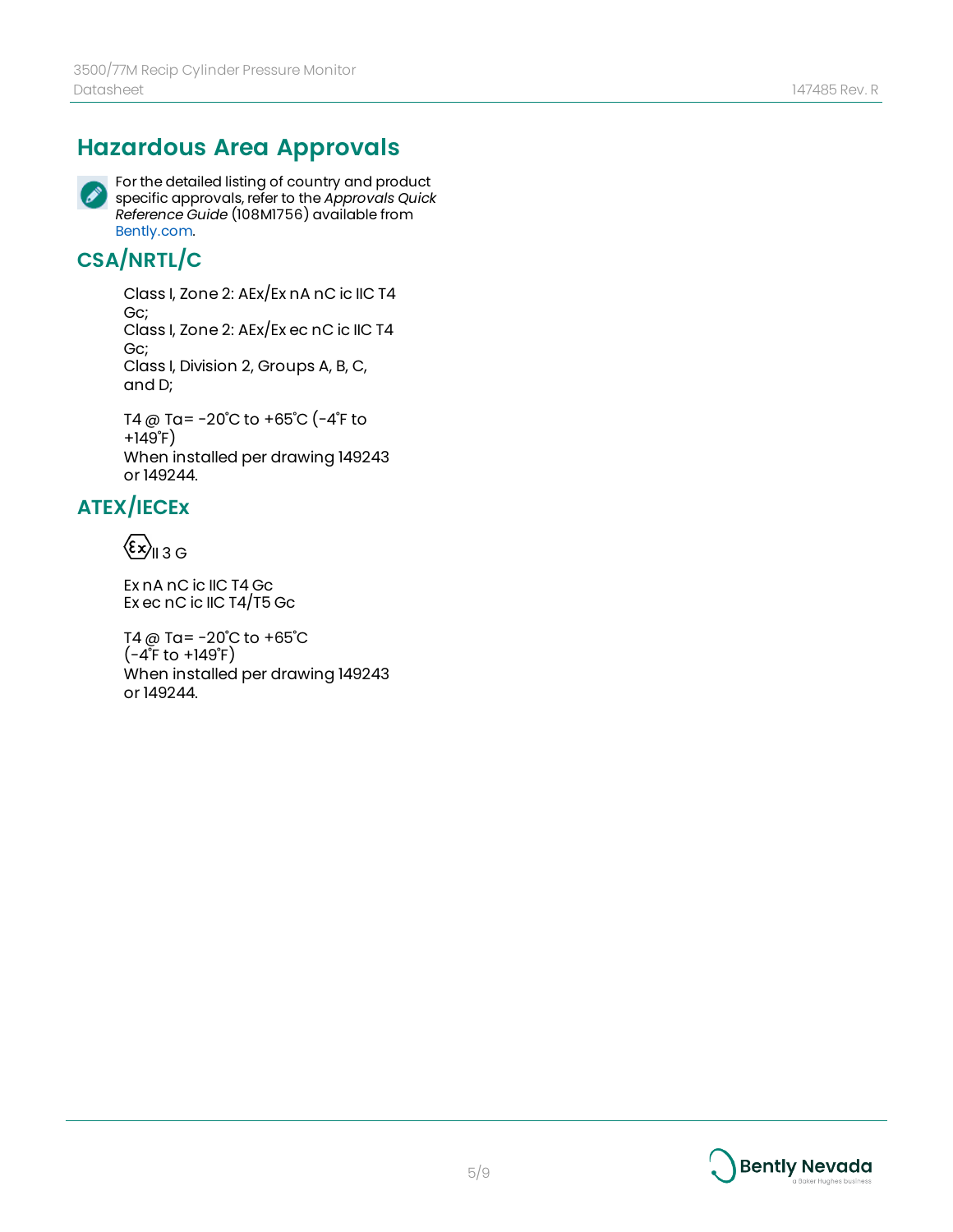# **Hazardous Area Approvals**



For the detailed listing of country and product specific approvals, refer to the *Approvals Quick Reference Guide* (108M1756) available from [Bently.com.](http://www.bently.com/)

## **CSA/NRTL/C**

Class I, Zone 2: AEx/Ex nA nC ic IIC T4 Gc; Class I, Zone 2: AEx/Ex ec nC ic IIC T4 Gc; Class I, Division 2, Groups A, B, C, and D;

T4 @ Ta= -20˚C to +65˚C (-4˚F to +149˚F) When installed per drawing 149243 or 149244.

# **ATEX/IECEx**

 $\langle \epsilon_{\text{y}} \rangle_{\text{II} 3 \text{G}}$ 

Ex nA nC ic IIC T4 Gc Ex ec nC ic IIC T4/T5 Gc

T4 @ Ta= -20˚C to +65˚C  $(-4^{\circ}$ F to  $+149^{\circ}$ F) When installed per drawing 149243 or 149244.

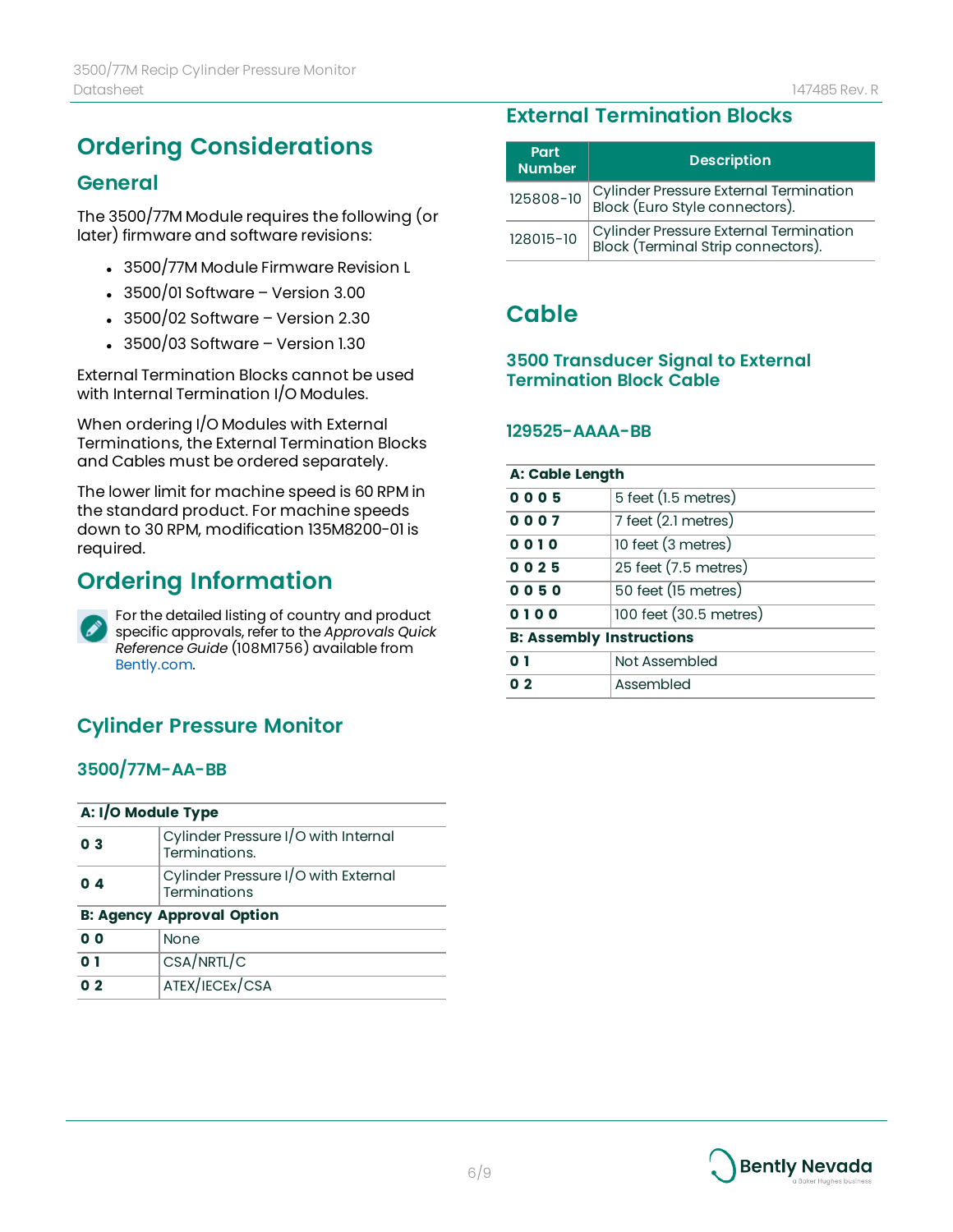# **Ordering Considerations**

#### **General**

The 3500/77M Module requires the following (or later) firmware and software revisions:

- 3500/77M Module Firmware Revision L
- $\cdot$  3500/01 Software Version 3.00
- $\cdot$  3500/02 Software Version 2.30
- $\cdot$  3500/03 Software Version 1.30

External Termination Blocks cannot be used with Internal Termination I/O Modules.

When ordering I/O Modules with External Terminations, the External Termination Blocks and Cables must be ordered separately.

The lower limit for machine speed is 60 RPM in the standard product. For machine speeds down to 30 RPM, modification 135M8200-01 is required.

# **Ordering Information**



For the detailed listing of country and product specific approvals, refer to the *Approvals Quick Reference Guide* (108M1756) available from [Bently.com.](http://www.bently.com/)

### **Cylinder Pressure Monitor**

#### **3500/77M-AA-BB**

| A: I/O Module Type               |                                                      |  |
|----------------------------------|------------------------------------------------------|--|
| 0 <sub>3</sub>                   | Cylinder Pressure I/O with Internal<br>Terminations. |  |
| $0\,4$                           | Cylinder Pressure I/O with External<br>Terminations  |  |
| <b>B: Agency Approval Option</b> |                                                      |  |
| 0 O                              | <b>None</b>                                          |  |
| 0 I                              | CSA/NRTL/C                                           |  |
| 0 <sub>2</sub>                   | ATEX/IECEX/CSA                                       |  |

### **External Termination Blocks**

| Part<br><b>Number</b> | <b>Description</b>                                                                 |
|-----------------------|------------------------------------------------------------------------------------|
|                       | 125808-10 Cylinder Pressure External Termination<br>Block (Euro Style connectors). |
| 128015-10             | Cylinder Pressure External Termination<br>Block (Terminal Strip connectors).       |

### **Cable**

#### **3500 Transducer Signal to External Termination Block Cable**

#### **129525-AAAA-BB**

| <b>A: Cable Length</b>          |                        |
|---------------------------------|------------------------|
| 0005                            | 5 feet (1.5 metres)    |
| 0007                            | 7 feet (2.1 metres)    |
| 0010                            | 10 feet (3 metres)     |
| 0025                            | 25 feet (7.5 metres)   |
| 0050                            | 50 feet (15 metres)    |
| 0100                            | 100 feet (30.5 metres) |
| <b>B: Assembly Instructions</b> |                        |
| 0 <sub>1</sub>                  | Not Assembled          |
| 0 <sub>2</sub>                  | Assembled              |

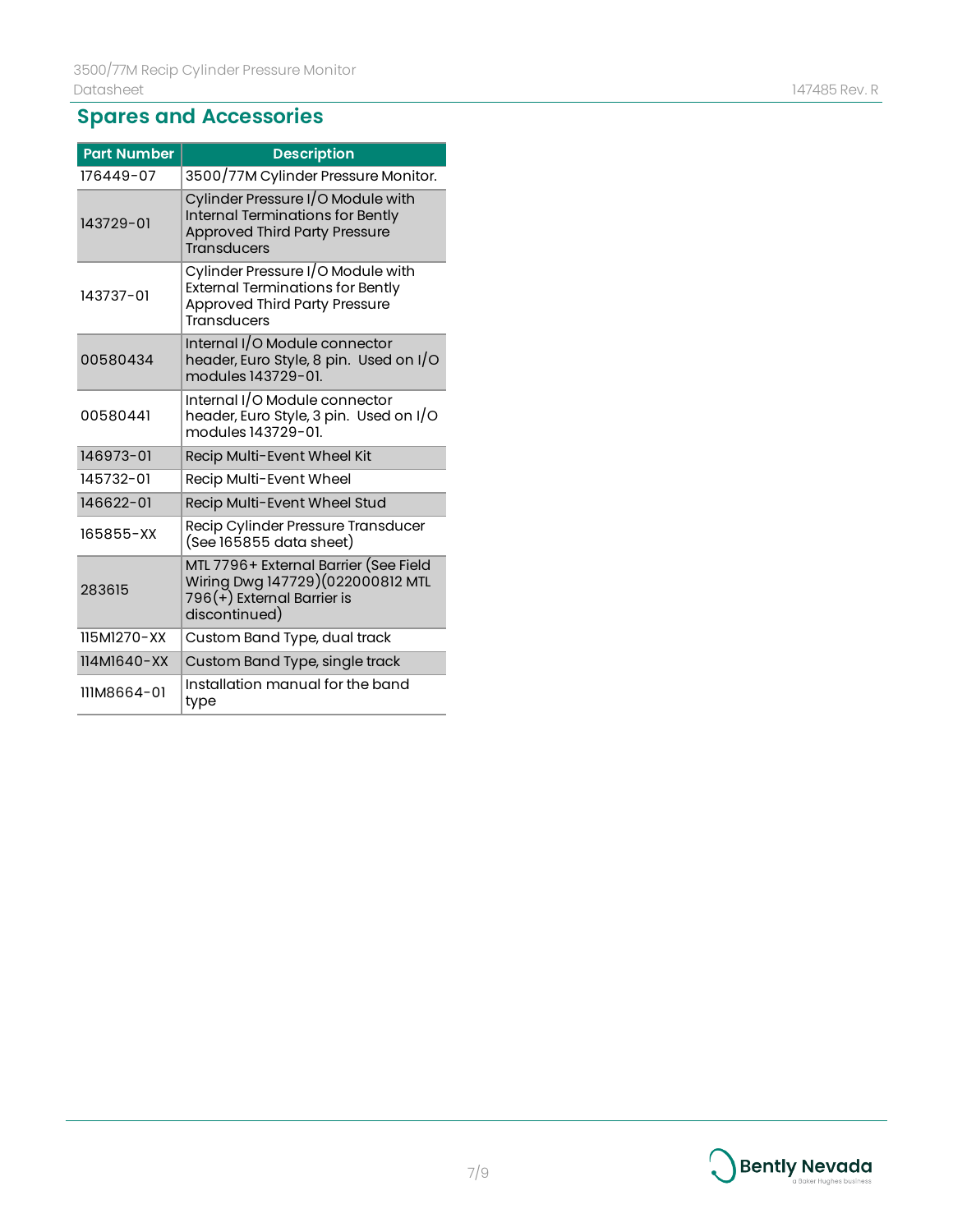# **Spares and Accessories**

| <b>Part Number</b> | <b>Description</b>                                                                                                                         |
|--------------------|--------------------------------------------------------------------------------------------------------------------------------------------|
| 176449-07          | 3500/77M Cylinder Pressure Monitor.                                                                                                        |
| 143729-01          | Cylinder Pressure I/O Module with<br>Internal Terminations for Bently<br><b>Approved Third Party Pressure</b><br><b>Transducers</b>        |
| 143737-01          | Cylinder Pressure I/O Module with<br><b>External Terminations for Bently</b><br><b>Approved Third Party Pressure</b><br><b>Transducers</b> |
| 00580434           | Internal I/O Module connector<br>header, Euro Style, 8 pin. Used on I/O<br>modules 143729-01.                                              |
| 00580441           | Internal I/O Module connector<br>header, Euro Style, 3 pin. Used on I/O<br>modules 143729-01.                                              |
| 146973-01          | Recip Multi-Event Wheel Kit                                                                                                                |
| 145732-01          | Recip Multi-Event Wheel                                                                                                                    |
| 146622-01          | Recip Multi-Event Wheel Stud                                                                                                               |
| 165855-XX          | Recip Cylinder Pressure Transducer<br>(See 165855 data sheet)                                                                              |
| 283615             | MTL 7796+ External Barrier (See Field<br>Wiring Dwg 147729)(022000812 MTL<br>796(+) External Barrier is<br>discontinued)                   |
| 115M1270-XX        | Custom Band Type, dual track                                                                                                               |
| 114M1640-XX        | Custom Band Type, single track                                                                                                             |
| 111M8664-01        | Installation manual for the band<br>type                                                                                                   |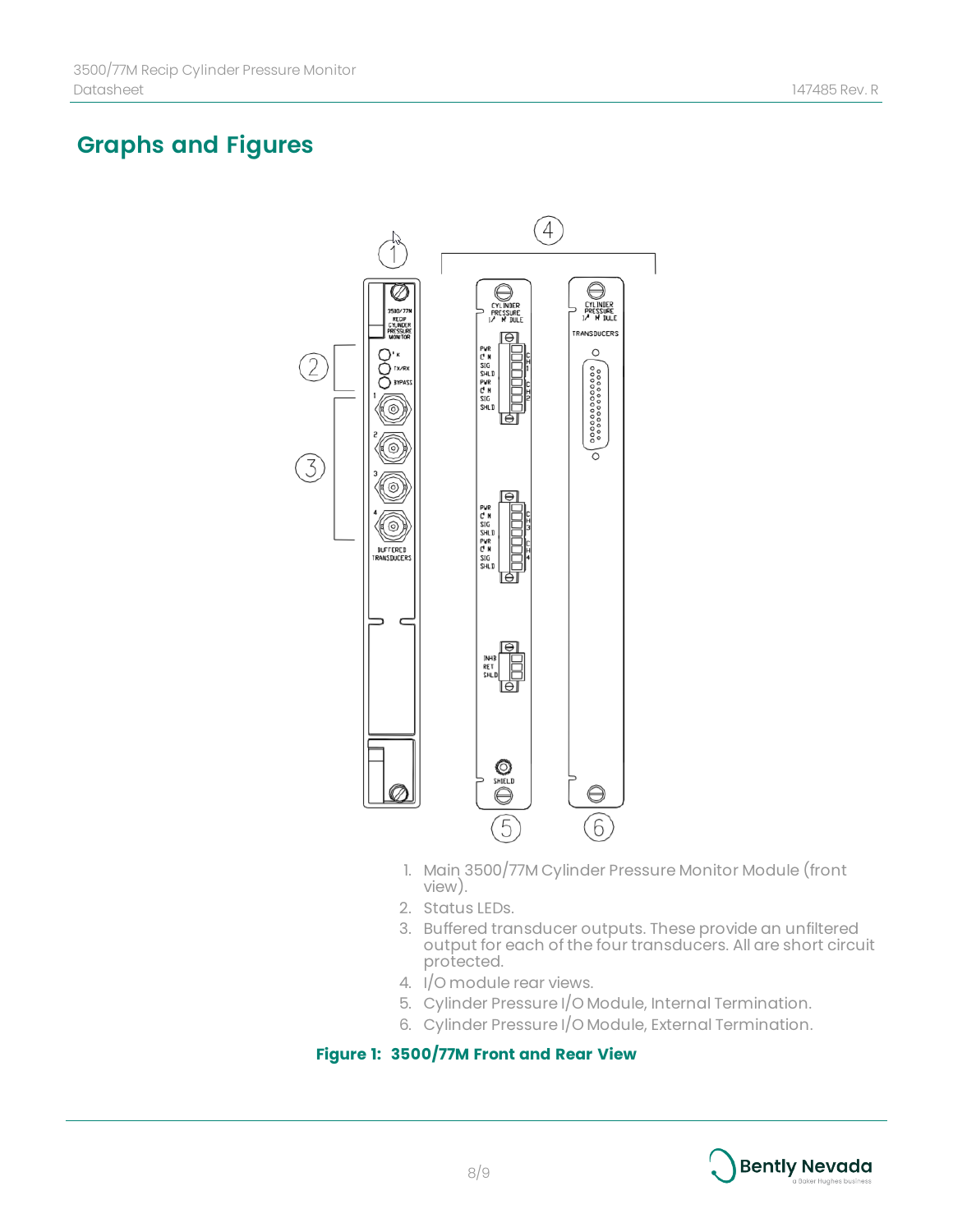# **Graphs and Figures**



- 1. Main 3500/77M Cylinder Pressure Monitor Module (front view).
- 2. Status LEDs.
- 3. Buffered transducer outputs. These provide an unfiltered output for each of the four transducers. All are short circuit protected.
- 4. I/O module rear views.
- 5. Cylinder Pressure I/O Module, Internal Termination.
- 6. Cylinder Pressure I/O Module, External Termination.

#### **Figure 1: 3500/77M Front and Rear View**